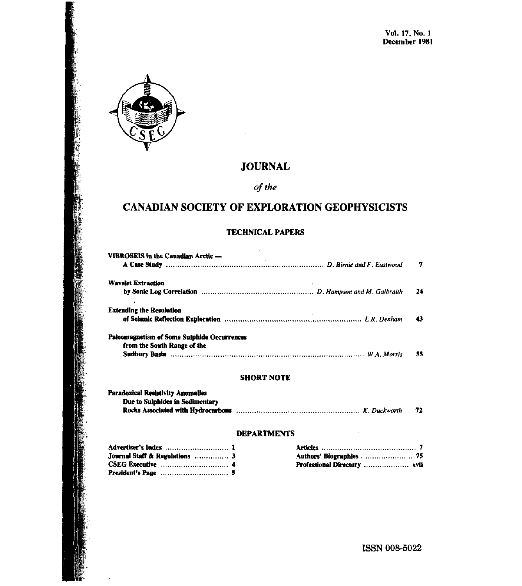

# **JOURNAL**

of the

# **CANADIAN SOCIETY OF EXPLORATION GEOPHYSICISTS**

#### **TECHNICAL PAPERS**

 $\overline{a}$ 

| VIBROSEIS in the Canadian Arctic -                                                | 7    |
|-----------------------------------------------------------------------------------|------|
| <b>Wavelet Extraction</b>                                                         | - 24 |
| <b>Extending the Resolution</b>                                                   | 43   |
| <b>Paleomagnetism of Some Sulphide Occurrences</b><br>from the South Range of the | 55   |

#### **SHORT NOTE**

| <b>Paradoxical Resistivity Anomalies</b> |    |
|------------------------------------------|----|
| Due to Sulphides in Sedimentary          |    |
|                                          | 72 |

#### **DEPARTMENTS**

| <b>Journal Staff &amp; Regulations</b> 3 |  |
|------------------------------------------|--|
|                                          |  |
|                                          |  |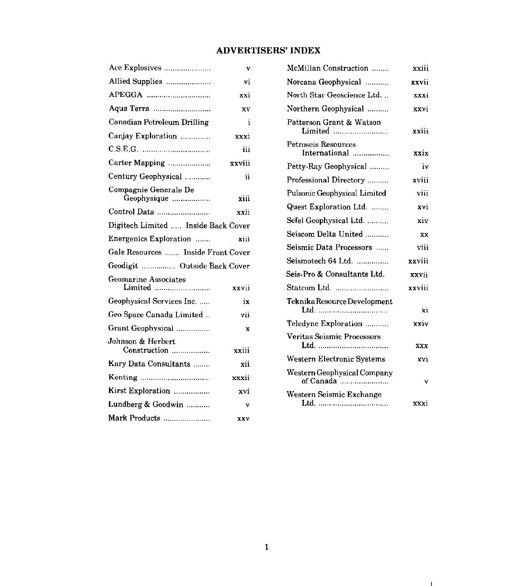## ADVERTISERS' INDEX

| Ace Explosives                       | v      |
|--------------------------------------|--------|
| Allied Supplies                      | vi     |
| APEGGA                               | xxi    |
|                                      | XV     |
| Canadian Petroleum Drilling          | i      |
| Canjay Exploration                   | xxxi   |
|                                      | iii    |
| Carter Mapping                       | xxviii |
| Century Geophysical                  | ii     |
| Compagnie Generale De<br>Geophysique | xiii   |
| Control Data                         | xxii   |
| Digitech Limited  Inside Back Cover  |        |
| Energenics Exploration               | xiii   |
| Gale Resources  Inside Front Cover   |        |
| Geodigit  Outside Back Cover         |        |
| Geomarine Associates<br>Limited      | xxvii  |
| Geophysical Services Inc.            | ix     |
| Geo Space Canada Limited             | vii    |
| Grant Geophysical                    | x      |
| Johnson & Herbert<br>Construction    | xxiii  |
| Kary Data Consultants                | xii    |
|                                      | xxxii  |
| Kirst Exploration                    | xvi    |
| Lundberg & Goodwin                   | v      |
| Mark Products                        | XXV    |

| McMillan Construction                    | xxiii  |
|------------------------------------------|--------|
| Norcana Geophysical                      | xxvii  |
| North Star Geoscience Ltd                | xxxi   |
| Northern Geophysical                     | xxvi   |
| Patterson Grant & Watson<br>Limited      | xxiii  |
| Petroseis Resources<br>International     | xxix   |
| Petty-Ray Geophysical                    | iv     |
| Professional Directory                   | xviii  |
| <b>Pulsonic Geophysical Limited</b>      | viii   |
| Quest Exploration Ltd.                   | xvi    |
| Sefel Geophysical Ltd.                   | xiv    |
| Seiscom Delta United                     | XX     |
| Seismic Data Processors                  | viji   |
| Seismotech 64 Ltd.                       | xxviii |
| Seis-Pro & Consultants Ltd.              | xxvii  |
| Statcom Ltd.                             | xxviii |
| Teknika Resource Development<br>Ltd.     | Xi     |
| Teledyne Exploration                     | xxiv   |
| Veritas Seismic Processors               | xxx    |
| Western Electronic Systems               | xvi    |
| Western Geophysical Company<br>of Canada | V      |
| Western Seismic Exchange                 | xxxi   |

 $\mathbf{1}$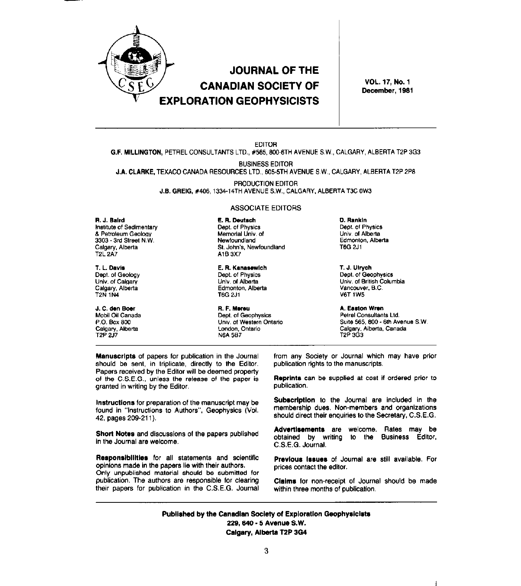

# **JOURNAL OF THE CANADIAN SOCIETY OF EXPLORATION GEOPHYSICISTS**

VOL. 17, No. 1 December, 1981

#### **EDITOR** G.F. MILLINGTON, PETREL CONSULTANTS LTD., #565, 800-6TH AVENUE S.W., CALGARY, ALBERTA T2P 3G3

**BUSINESS EDITOR** 

J.A. CLARKE. TEXACO CANADA RESOURCES LTD., 605-5TH AVENUE S.W., CALGARY, ALBERTA T2P 2P8

PRODUCTION EDITOR J.B. GREIG, #406, 1334-14TH AVENUE S.W., CALGARY, ALBERTA T3C 0W3

#### R. J. Baird Institute of Sedimentary

& Petroleum Geology 3303 - 3rd Street N.W. Calgary, Alberta T2L\_2A7

T. L. Davis Dept. of Geology Univ. of Calgary Calgary, Alberta **T2N 1N4** 

J. C. den Boer Mobil Oil Canada P.O. Box 800 Calgary, Alberta

#### **ASSOCIATE EDITORS**

E. R. Deutsch Dept. of Physics Memorial Univ. of Newfoundland St. John's, Newfoundland A1B 3X7

E. R. Kanasewich Dept. of Physics Univ. of Alberta Edmonton, Alberta **T6G 2J1** 

R. F. Mereu Dept. of Geophysics Univ. of Western Ontario London, Ontario **N6A 5B7** 

D. Rankin Dept. of Physics Univ. of Alberta Edmonton, Alberta **T6G 2J1** 

T. J. Ulrych Dept. of Geophysics Univ. of British Columbia Vancouver, B.C. **V6T 1W5** 

A. Easton Wren Petrel Consultants Ltd. Suite 565, 800 - 6th Avenue S.W. Calgary, Alberta, Canada<br>T2P 3G3

Manuscripts of papers for publication in the Journal should be sent, in triplicate, directly to the Editor. Papers received by the Editor will be deemed property of the C.S.E.G., unless the release of the paper is granted in writing by the Editor.

Instructions for preparation of the manuscript may be found in "Instructions to Authors", Geophysics (Vol. 42, pages 209-211).

Short Notes and discussions of the papers published in the Journal are welcome.

Responsibilities for all statements and scientific opinions made in the papers lie with their authors. Only unpublished material should be submitted for publication. The authors are responsible for clearing their papers for publication in the C.S.E.G. Journal

from any Society or Journal which may have prior publication rights to the manuscripts.

Reprints can be supplied at cost if ordered prior to publication.

Subscription to the Journal are included in the membership dues. Non-members and organizations should direct their enquiries to the Secretary, C.S.E.G.

Advertisements are welcome. Rates may be obtained by writing to the Business Editor, C.S.E.G. Journal.

Previous Issues of Journal are still available. For prices contact the editor.

Claims for non-receipt of Journal should be made within three months of publication.

 $\mathbf{1}$ 

Published by the Canadian Society of Exploration Geophysicists 229, 640 - 5 Avenue S.W. Calgary, Alberta T2P 3G4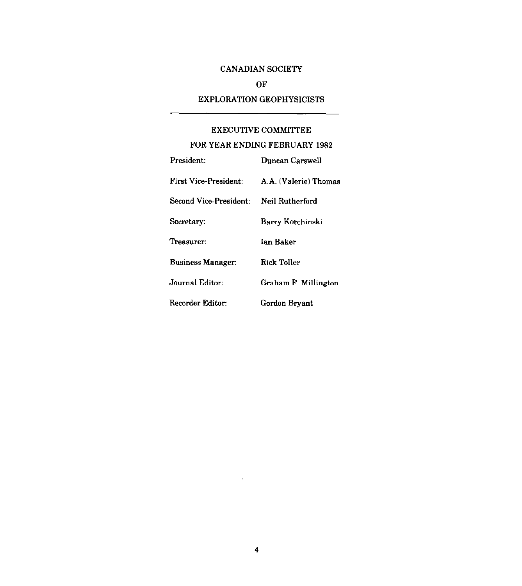# CANADIAN SOCIETY

## OF

### EXPLORATION GEOPHYSICISTS

#### EXECUTIVE COMMITTEE

#### FOR YEAR ENDING FEBRUARY 1982

| President:                             | Duncan Carswell       |
|----------------------------------------|-----------------------|
| <b>First Vice-President:</b>           | A.A. (Valerie) Thomas |
| Second Vice-President: Neil Rutherford |                       |
| Secretary:                             | Barry Korchinski      |
| Treasurer:                             | Ian Baker             |
| <b>Business Manager:</b>               | Rick Toller           |
| Journal Editor:                        | Graham F. Millington  |
| Recorder Editor:                       | Gordon Bryant         |